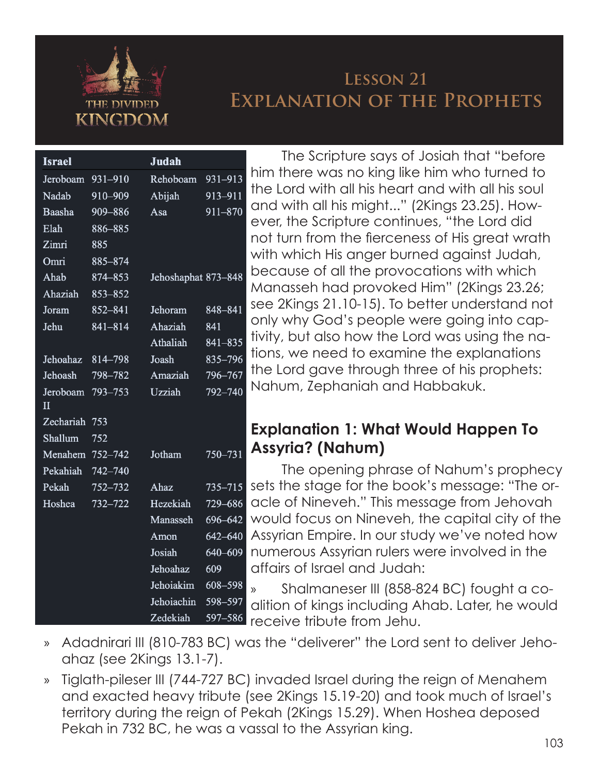

# **Lesson 21 Explanation of the Prophets**

| <b>Israel</b>            |             | Judah               |             |                         |
|--------------------------|-------------|---------------------|-------------|-------------------------|
| Jeroboam                 | 931-910     | Rehoboam            | 931-913     | ŀ                       |
| Nadab                    | 910-909     | Abijah              | 913-911     | t                       |
| Baasha                   | 909-886     | Asa                 | 911-870     | $\mathsf{C}$            |
| Elah                     | 886-885     |                     |             | $\epsilon$              |
| Zimri                    | 885         |                     |             | r                       |
| Omri                     | 885-874     |                     |             | ٧                       |
| Ahab                     | 874-853     | Jehoshaphat 873-848 |             | k                       |
| Ahaziah                  | 853-852     |                     |             | ľ                       |
| Joram                    | $852 - 841$ | Jehoram             | 848-841     | S                       |
| Jehu                     | 841-814     | Ahaziah             | 841         | $\overline{\mathsf{C}}$ |
|                          |             | Athaliah            | 841-835     | t                       |
| Jehoahaz                 | 814-798     | Joash               | 835-796     | t                       |
| Jehoash                  | 798-782     | Amaziah             | 796-767     | t                       |
| Jeroboam<br>$\mathbf{I}$ | 793-753     | Uzziah              | 792-740     | ľ                       |
| Zechariah                | 753         |                     |             | E                       |
| Shallum                  | 752         |                     |             |                         |
| Menahem                  | 752-742     | Jotham              | 750-731     | I                       |
| Pekahiah                 | 742-740     |                     |             |                         |
| Pekah                    | 752-732     | Ahaz                | $735 - 715$ | S                       |
| Hoshea                   | $732 - 722$ | Hezekiah            | 729-686     | $\overline{C}$          |
|                          |             | Manasseh            | 696-642     | ٧                       |
|                          |             | Amon                | 642-640     | ł                       |
|                          |             | Josiah              | 640-609     | r                       |
|                          |             | Jehoahaz            | 609         | $\overline{\mathsf{C}}$ |
|                          |             | Jehoiakim           | 608-598     | $\mathcal{E}$           |
|                          |             | Jehoiachin          | 598-597     | $\overline{C}$          |
|                          |             | Zedekiah            | 597-586     | r                       |

The Scripture says of Josiah that "before him there was no king like him who turned to the Lord with all his heart and with all his soul and with all his might..." (2Kings 23.25). However, the Scripture continues, "the Lord did not turn from the fierceness of His great wrath with which His anger burned against Judah, because of all the provocations with which Manasseh had provoked Him" (2Kings 23.26; see 2Kings 21.10-15). To better understand not only why God's people were going into captivity, but also how the Lord was using the nations, we need to examine the explanations the Lord gave through three of his prophets: Nahum, Zephaniah and Habbakuk.

## **Explanation 1: What Would Happen To Assyria? (Nahum)**

The opening phrase of Nahum's prophecy sets the stage for the book's message: "The oracle of Nineveh." This message from Jehovah would focus on Nineveh, the capital city of the Assyrian Empire. In our study we've noted how numerous Assyrian rulers were involved in the affairs of Israel and Judah:

» Shalmaneser III (858-824 BC) fought a coalition of kings including Ahab. Later, he would receive tribute from Jehu.

- » Adadnirari III (810-783 BC) was the "deliverer" the Lord sent to deliver Jehoahaz (see 2Kings 13.1-7).
- » Tiglath-pileser III (744-727 BC) invaded Israel during the reign of Menahem and exacted heavy tribute (see 2Kings 15.19-20) and took much of Israel's territory during the reign of Pekah (2Kings 15.29). When Hoshea deposed Pekah in 732 BC, he was a vassal to the Assyrian king.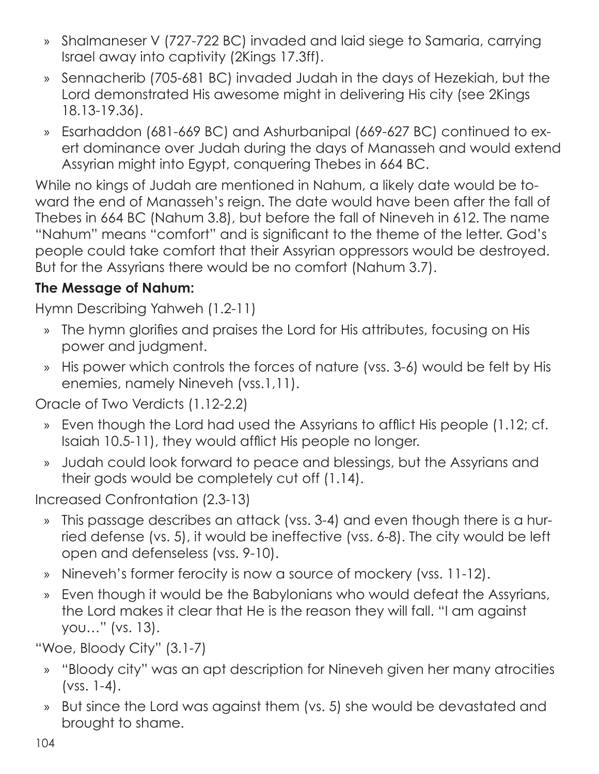- » Shalmaneser V (727-722 BC) invaded and laid siege to Samaria, carrying Israel away into captivity (2Kings 17.3ff).
- » Sennacherib (705-681 BC) invaded Judah in the days of Hezekiah, but the Lord demonstrated His awesome might in delivering His city (see 2Kings 18.13-19.36).
- » Esarhaddon (681-669 BC) and Ashurbanipal (669-627 BC) continued to exert dominance over Judah during the days of Manasseh and would extend Assyrian might into Egypt, conquering Thebes in 664 BC.

While no kings of Judah are mentioned in Nahum, a likely date would be toward the end of Manasseh's reign. The date would have been after the fall of Thebes in 664 BC (Nahum 3.8), but before the fall of Nineveh in 612. The name "Nahum" means "comfort" and is significant to the theme of the letter. God's people could take comfort that their Assyrian oppressors would be destroyed. But for the Assyrians there would be no comfort (Nahum 3.7).

## **The Message of Nahum:**

Hymn Describing Yahweh (1.2-11)

- » The hymn glorifies and praises the Lord for His attributes, focusing on His power and judgment.
- » His power which controls the forces of nature (vss. 3-6) would be felt by His enemies, namely Nineveh (vss.1,11).

Oracle of Two Verdicts (1.12-2.2)

- » Even though the Lord had used the Assyrians to afflict His people (1.12; cf. Isaiah 10.5-11), they would afflict His people no longer.
- » Judah could look forward to peace and blessings, but the Assyrians and their gods would be completely cut off (1.14).

Increased Confrontation (2.3-13)

- » This passage describes an attack (vss. 3-4) and even though there is a hurried defense (vs. 5), it would be ineffective (vss. 6-8). The city would be left open and defenseless (vss. 9-10).
- » Nineveh's former ferocity is now a source of mockery (vss. 11-12).
- » Even though it would be the Babylonians who would defeat the Assyrians, the Lord makes it clear that He is the reason they will fall. "I am against you…" (vs. 13).

"Woe, Bloody City" (3.1-7)

- » "Bloody city" was an apt description for Nineveh given her many atrocities (vss. 1-4).
- » But since the Lord was against them (vs. 5) she would be devastated and brought to shame.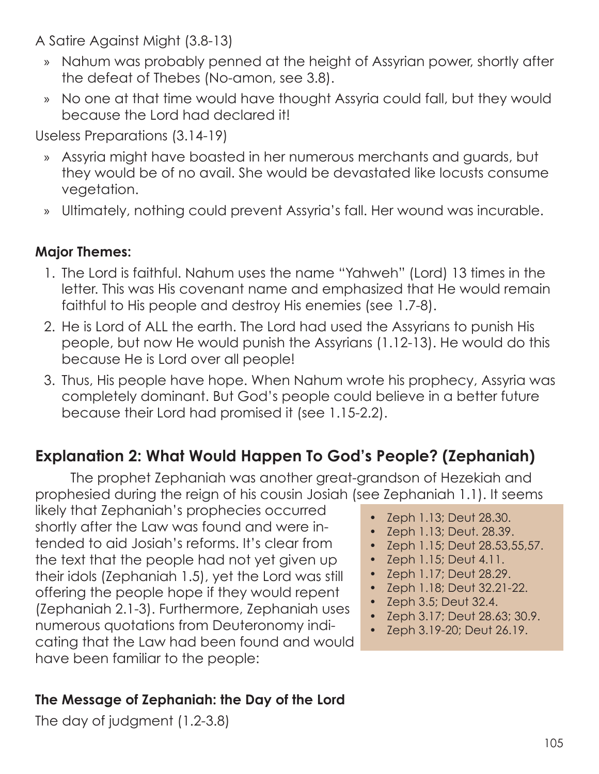A Satire Against Might (3.8-13)

- » Nahum was probably penned at the height of Assyrian power, shortly after the defeat of Thebes (No-amon, see 3.8).
- » No one at that time would have thought Assyria could fall, but they would because the Lord had declared it!

Useless Preparations (3.14-19)

- » Assyria might have boasted in her numerous merchants and guards, but they would be of no avail. She would be devastated like locusts consume vegetation.
- » Ultimately, nothing could prevent Assyria's fall. Her wound was incurable.

## **Major Themes:**

- 1. The Lord is faithful. Nahum uses the name "Yahweh" (Lord) 13 times in the letter. This was His covenant name and emphasized that He would remain faithful to His people and destroy His enemies (see 1.7-8).
- 2. He is Lord of ALL the earth. The Lord had used the Assyrians to punish His people, but now He would punish the Assyrians (1.12-13). He would do this because He is Lord over all people!
- 3. Thus, His people have hope. When Nahum wrote his prophecy, Assyria was completely dominant. But God's people could believe in a better future because their Lord had promised it (see 1.15-2.2).

# **Explanation 2: What Would Happen To God's People? (Zephaniah)**

The prophet Zephaniah was another great-grandson of Hezekiah and prophesied during the reign of his cousin Josiah (see Zephaniah 1.1). It seems

likely that Zephaniah's prophecies occurred shortly after the Law was found and were intended to aid Josiah's reforms. It's clear from the text that the people had not yet given up their idols (Zephaniah 1.5), yet the Lord was still offering the people hope if they would repent (Zephaniah 2.1-3). Furthermore, Zephaniah uses numerous quotations from Deuteronomy indicating that the Law had been found and would have been familiar to the people:

#### **The Message of Zephaniah: the Day of the Lord**

The day of judgment (1.2-3.8)

- Zeph 1.13; Deut 28.30.
- Zeph 1.13; Deut. 28.39.
- Zeph 1.15; Deut 28.53,55,57.
- Zeph 1.15; Deut 4.11.
- Zeph 1.17; Deut 28.29.
- Zeph 1.18; Deut 32.21-22.
- Zeph 3.5; Deut 32.4.
- Zeph 3.17; Deut 28.63; 30.9.
- Zeph 3.19-20; Deut 26.19.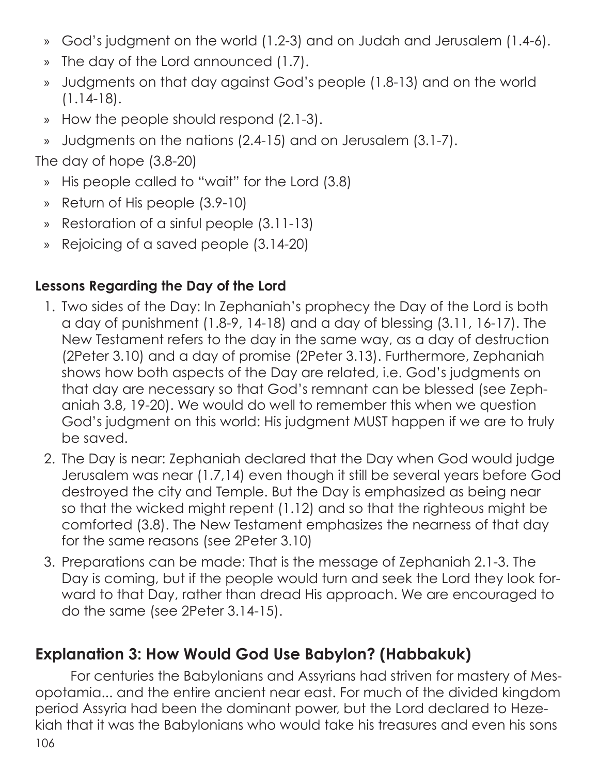- » God's judgment on the world (1.2-3) and on Judah and Jerusalem (1.4-6).
- » The day of the Lord announced (1.7).
- » Judgments on that day against God's people (1.8-13) and on the world (1.14-18).
- » How the people should respond (2.1-3).
- » Judgments on the nations (2.4-15) and on Jerusalem (3.1-7).

The day of hope (3.8-20)

- » His people called to "wait" for the Lord (3.8)
- » Return of His people (3.9-10)
- » Restoration of a sinful people (3.11-13)
- » Rejoicing of a saved people (3.14-20)

#### **Lessons Regarding the Day of the Lord**

- 1. Two sides of the Day: In Zephaniah's prophecy the Day of the Lord is both a day of punishment (1.8-9, 14-18) and a day of blessing (3.11, 16-17). The New Testament refers to the day in the same way, as a day of destruction (2Peter 3.10) and a day of promise (2Peter 3.13). Furthermore, Zephaniah shows how both aspects of the Day are related, i.e. God's judgments on that day are necessary so that God's remnant can be blessed (see Zephaniah 3.8, 19-20). We would do well to remember this when we question God's judgment on this world: His judgment MUST happen if we are to truly be saved.
- 2. The Day is near: Zephaniah declared that the Day when God would judge Jerusalem was near (1.7,14) even though it still be several years before God destroyed the city and Temple. But the Day is emphasized as being near so that the wicked might repent (1.12) and so that the righteous might be comforted (3.8). The New Testament emphasizes the nearness of that day for the same reasons (see 2Peter 3.10)
- 3. Preparations can be made: That is the message of Zephaniah 2.1-3. The Day is coming, but if the people would turn and seek the Lord they look forward to that Day, rather than dread His approach. We are encouraged to do the same (see 2Peter 3.14-15).

# **Explanation 3: How Would God Use Babylon? (Habbakuk)**

106 For centuries the Babylonians and Assyrians had striven for mastery of Mesopotamia... and the entire ancient near east. For much of the divided kingdom period Assyria had been the dominant power, but the Lord declared to Hezekiah that it was the Babylonians who would take his treasures and even his sons